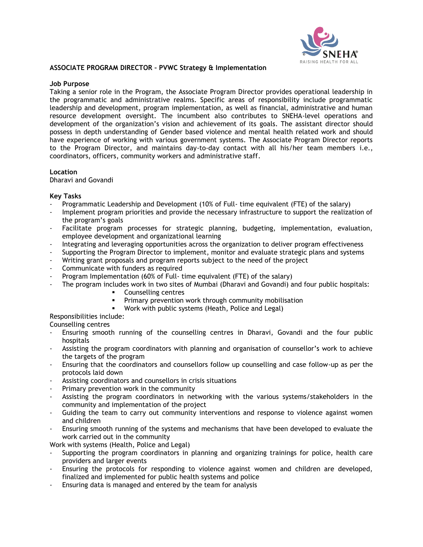

#### **ASSOCIATE PROGRAM DIRECTOR – PVWC Strategy & Implementation**

## **Job Purpose**

Taking a senior role in the Program, the Associate Program Director provides operational leadership in the programmatic and administrative realms. Specific areas of responsibility include programmatic leadership and development, program implementation, as well as financial, administrative and human resource development oversight. The incumbent also contributes to SNEHA-level operations and development of the organization's vision and achievement of its goals. The assistant director should possess in depth understanding of Gender based violence and mental health related work and should have experience of working with various government systems. The Associate Program Director reports to the Program Director, and maintains day-to-day contact with all his/her team members i.e., coordinators, officers, community workers and administrative staff.

## **Location**

Dharavi and Govandi

## **Key Tasks**

- Programmatic Leadership and Development (10% of Full- time equivalent (FTE) of the salary)
- Implement program priorities and provide the necessary infrastructure to support the realization of the program's goals
- Facilitate program processes for strategic planning, budgeting, implementation, evaluation, employee development and organizational learning
- Integrating and leveraging opportunities across the organization to deliver program effectiveness
- Supporting the Program Director to implement, monitor and evaluate strategic plans and systems
- Writing grant proposals and program reports subject to the need of the project
- Communicate with funders as required
- Program Implementation (60% of Full- time equivalent (FTE) of the salary)
	- The program includes work in two sites of Mumbai (Dharavi and Govandi) and four public hospitals:
		- Counselling centres
		- Primary prevention work through community mobilisation
		- Work with public systems (Heath, Police and Legal)

Responsibilities include:

Counselling centres

- Ensuring smooth running of the counselling centres in Dharavi, Govandi and the four public hospitals
- Assisting the program coordinators with planning and organisation of counsellor's work to achieve the targets of the program
- Ensuring that the coordinators and counsellors follow up counselling and case follow-up as per the protocols laid down
- Assisting coordinators and counsellors in crisis situations
- Primary prevention work in the community
- Assisting the program coordinators in networking with the various systems/stakeholders in the community and implementation of the project
- Guiding the team to carry out community interventions and response to violence against women and children
- Ensuring smooth running of the systems and mechanisms that have been developed to evaluate the work carried out in the community

Work with systems (Health, Police and Legal)

- Supporting the program coordinators in planning and organizing trainings for police, health care providers and larger events
- Ensuring the protocols for responding to violence against women and children are developed, finalized and implemented for public health systems and police
- Ensuring data is managed and entered by the team for analysis